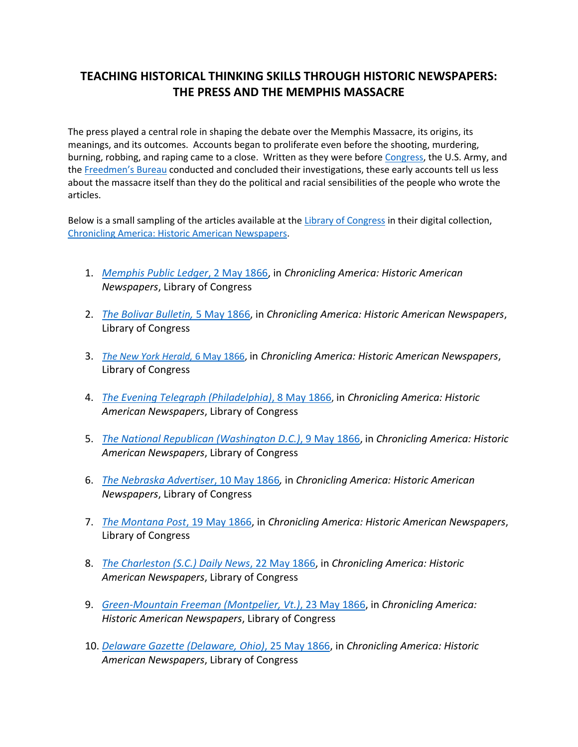## **TEACHING HISTORICAL THINKING SKILLS THROUGH HISTORIC NEWSPAPERS: THE PRESS AND THE MEMPHIS MASSACRE**

The press played a central role in shaping the debate over the Memphis Massacre, its origins, its meanings, and its outcomes. Accounts began to proliferate even before the shooting, murdering, burning, robbing, and raping came to a close. Written as they were before [Congress,](http://memory.loc.gov/cgi-bin/ampage?collId=llss&fileName=1200/1274/llss1274.db&recNum=10) the U.S. Army, and the [Freedmen's Bureau](http://teachingamericanhistory.org/library/document/the-freedmens-bureau-report-on-the-memphis-race-riots-of-1866/#doc-tabs-full) conducted and concluded their investigations, these early accounts tell us less about the massacre itself than they do the political and racial sensibilities of the people who wrote the articles.

Below is a small sampling of the articles available at th[e Library of Congress](https://www.loc.gov/) in their digital collection, [Chronicling America: Historic American Newspapers.](http://chroniclingamerica.loc.gov/)

- 1. *[Memphis Public Ledger](http://chroniclingamerica.loc.gov/lccn/sn85033673/1866-05-02/ed-1/seq-3/)*, 2 May 1866, in *Chronicling America: Historic American Newspapers*, Library of Congress
- 2. *[The Bolivar Bulletin,](http://chroniclingamerica.loc.gov/lccn/sn85033306/1866-05-05/ed-1/seq-2/#date1=1866&sort=date&date2=1866&words=MEMPHIS+Memphis&sequence=0&lccn=&index=30&state=&rows=50&ortext=&proxtext=Memphis&year=&phrasetext=&andtext=&proxValue=&dateFilterType=yearRange&page=72)* 5 May 1866, in *Chronicling America: Historic American Newspapers*, Library of Congress
- 3. *[The New York Herald,](http://chroniclingamerica.loc.gov/lccn/sn83030313/1866-05-06/ed-1/seq-6/#date1=1866&sort=date&date2=1866&words=Memphis&sequence=0&lccn=&index=46&state=&rows=50&ortext=&proxtext=Memphis&year=&phrasetext=&andtext=&proxValue=&dateFilterType=yearRange&page=73)* 6 May 1866, in *Chronicling America: Historic American Newspapers*, Library of Congress
- 4. *[The Evening Telegraph \(Philadelphia\)](http://chroniclingamerica.loc.gov/lccn/sn83025925/1866-05-08/ed-1/seq-2/#date1=1866&sort=date&date2=1866&words=Memphis&sequence=0&lccn=&index=46&state=&rows=50&ortext=&proxtext=Memphis&year=&phrasetext=&andtext=&proxValue=&dateFilterType=yearRange&page=74)*, 8 May 1866, in *Chronicling America: Historic American Newspapers*, Library of Congress
- 5. *[The National Republican \(Washington D.C.\)](http://chroniclingamerica.loc.gov/lccn/sn86053571/1866-05-09/ed-1/seq-1/#date1=1866&sort=date&date2=1866&words=Memphis&sequence=0&lccn=&index=49&state=&rows=50&ortext=&proxtext=Memphis&year=&phrasetext=&andtext=&proxValue=&dateFilterType=yearRange&page=75)*, 9 May 1866, in *Chronicling America: Historic American Newspapers*, Library of Congress
- 6. *[The Nebraska Advertiser](http://chroniclingamerica.loc.gov/lccn/sn84020109/1866-05-10/ed-1/seq-2/#date1=1866&sort=date&date2=1866&words=Memphis&sequence=0&lccn=&index=5&state=&rows=50&ortext=&proxtext=Memphis&year=&phrasetext=&andtext=&proxValue=&dateFilterType=yearRange&page=77)*, 10 May 1866*,* in *Chronicling America: Historic American Newspapers*, Library of Congress
- 7. *[The Montana Post](http://chroniclingamerica.loc.gov/lccn/sn83025293/1866-05-19/ed-1/seq-1/#date1=1866&sort=date&date2=1866&words=Memphis&sequence=0&lccn=&index=13&state=&rows=50&ortext=&proxtext=Memphis&year=&phrasetext=&andtext=&proxValue=&dateFilterType=yearRange&page=86)*, 19 May 1866, in *Chronicling America: Historic American Newspapers*, Library of Congress
- 8. *[The Charleston \(S.C.\) Daily News](http://chroniclingamerica.loc.gov/lccn/sn84026994/1866-05-22/ed-1/seq-4/#date1=1866&sort=date&date2=1866&words=Memphis+MEMPHIS&sequence=0&lccn=&index=24&state=&rows=50&ortext=&proxtext=Memphis&year=&phrasetext=&andtext=&proxValue=&dateFilterType=yearRange&page=87)*, 22 May 1866, in *Chronicling America: Historic American Newspapers*, Library of Congress
- 9. *[Green-Mountain Freeman \(Montpelier, Vt.\)](http://chroniclingamerica.loc.gov/lccn/sn84023209/1866-05-23/ed-1/seq-2/#date1=1866&sort=date&date2=1866&words=Memphis&sequence=0&lccn=&index=37&state=&rows=50&ortext=&proxtext=Memphis&year=&phrasetext=&andtext=&proxValue=&dateFilterType=yearRange&page=88)*, 23 May 1866, in *Chronicling America: Historic American Newspapers*, Library of Congress
- 10. *[Delaware Gazette \(Delaware, Ohio\)](http://chroniclingamerica.loc.gov/lccn/sn83035595/1866-05-25/ed-1/seq-1/#date1=1866&sort=date&date2=1866&words=Memphis&sequence=0&lccn=&index=47&state=&rows=50&ortext=&proxtext=Memphis&year=&phrasetext=&andtext=&proxValue=&dateFilterType=yearRange&page=90)*, 25 May 1866, in *Chronicling America: Historic American Newspapers*, Library of Congress